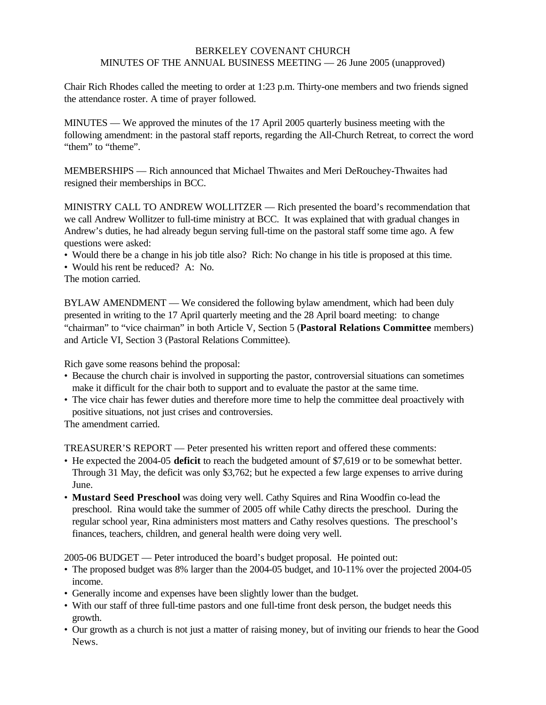## BERKELEY COVENANT CHURCH MINUTES OF THE ANNUAL BUSINESS MEETING — 26 June 2005 (unapproved)

Chair Rich Rhodes called the meeting to order at 1:23 p.m. Thirty-one members and two friends signed the attendance roster. A time of prayer followed.

MINUTES — We approved the minutes of the 17 April 2005 quarterly business meeting with the following amendment: in the pastoral staff reports, regarding the All-Church Retreat, to correct the word "them" to "theme".

MEMBERSHIPS — Rich announced that Michael Thwaites and Meri DeRouchey-Thwaites had resigned their memberships in BCC.

MINISTRY CALL TO ANDREW WOLLITZER — Rich presented the board's recommendation that we call Andrew Wollitzer to full-time ministry at BCC. It was explained that with gradual changes in Andrew's duties, he had already begun serving full-time on the pastoral staff some time ago. A few questions were asked:

- Would there be a change in his job title also? Rich: No change in his title is proposed at this time.
- Would his rent be reduced? A: No.
- The motion carried.

BYLAW AMENDMENT — We considered the following bylaw amendment, which had been duly presented in writing to the 17 April quarterly meeting and the 28 April board meeting: to change "chairman" to "vice chairman" in both Article V, Section 5 (**Pastoral Relations Committee** members) and Article VI, Section 3 (Pastoral Relations Committee).

Rich gave some reasons behind the proposal:

- Because the church chair is involved in supporting the pastor, controversial situations can sometimes make it difficult for the chair both to support and to evaluate the pastor at the same time.
- The vice chair has fewer duties and therefore more time to help the committee deal proactively with positive situations, not just crises and controversies.

The amendment carried.

TREASURER'S REPORT — Peter presented his written report and offered these comments:

- He expected the 2004-05 **deficit** to reach the budgeted amount of \$7,619 or to be somewhat better. Through 31 May, the deficit was only \$3,762; but he expected a few large expenses to arrive during June.
- **Mustard Seed Preschool** was doing very well. Cathy Squires and Rina Woodfin co-lead the preschool. Rina would take the summer of 2005 off while Cathy directs the preschool. During the regular school year, Rina administers most matters and Cathy resolves questions. The preschool's finances, teachers, children, and general health were doing very well.

2005-06 BUDGET — Peter introduced the board's budget proposal. He pointed out:

- The proposed budget was 8% larger than the 2004-05 budget, and 10-11% over the projected 2004-05 income.
- Generally income and expenses have been slightly lower than the budget.
- With our staff of three full-time pastors and one full-time front desk person, the budget needs this growth.
- Our growth as a church is not just a matter of raising money, but of inviting our friends to hear the Good News.